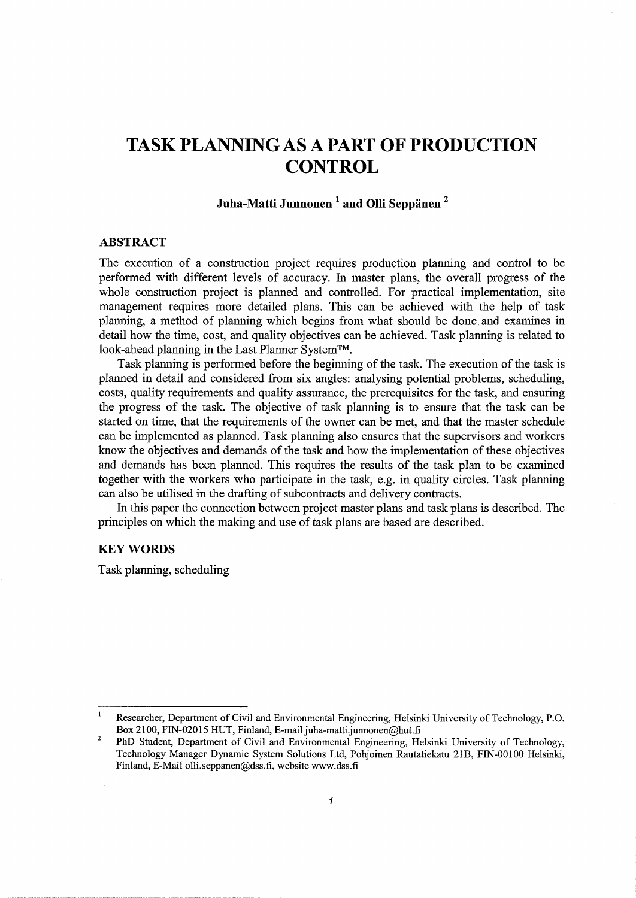# **TASK PLANNING AS A PART OF PRODUCTION CONTROL**

# **Juha-Matti Junnonen 1 and Olli Seppanen** <sup>2</sup>

#### **ABSTRACT**

The execution of a construction project requires production planning and control to be performed with different levels of accuracy. In master plans, the overall progress of the whole construction project is planned and controlled. For practical implementation, site management requires more detailed plans. This can be achieved with the help of task planning, a method of planning which begins from what should be done. and examines in detail how the time, cost, and quality objectives can be achieved. Task planning is related to look-ahead planning in the Last Planner System™.

Task planning is performed before the beginning of the task. The execution of the task is planned in detail and considered from six angles: analysing potential problems, scheduling, costs, quality requirements and quality assurance, the prerequisites for the task, and ensuring the progress of the task. The objective of task planning is to ensure that the task can be started on time, that the requirements of the owner can be met, and that the master schedule can be implemented as planned. Task planning also ensures that the supervisors and workers know the objectives and demands of the task and how the implementation of these objectives and demands has been planned. This requires the results of the task plan to be examined together with the workers who participate in the task, e.g. in quality circles. Task planning can also be utilised in the drafting of subcontracts and delivery contracts.

In this paper the connection between project master plans and task plans is described. The principles on which the making and use of task plans are based are described.

# **KEYWORDS**

Task planning, scheduling

 $\mathbf{1}$ Researcher, Department of Civil and Environmental Engineering, Helsinki University of Technology, P.O. Box 2100, FIN-02015 HUT, Finland, E-mail juha-matti.junnonen@hut.fi

 $\overline{2}$ PhD Student, Department of Civil and Environmental Engineering, Helsinki University of Technology, Technology Manager Dynamic System Solutions Ltd, Pohjoinen Rautatiekatu 21B, FIN-00100 Helsinki, Finland, E-Mail olli.seppanen@dss.fi, website www.dss.fi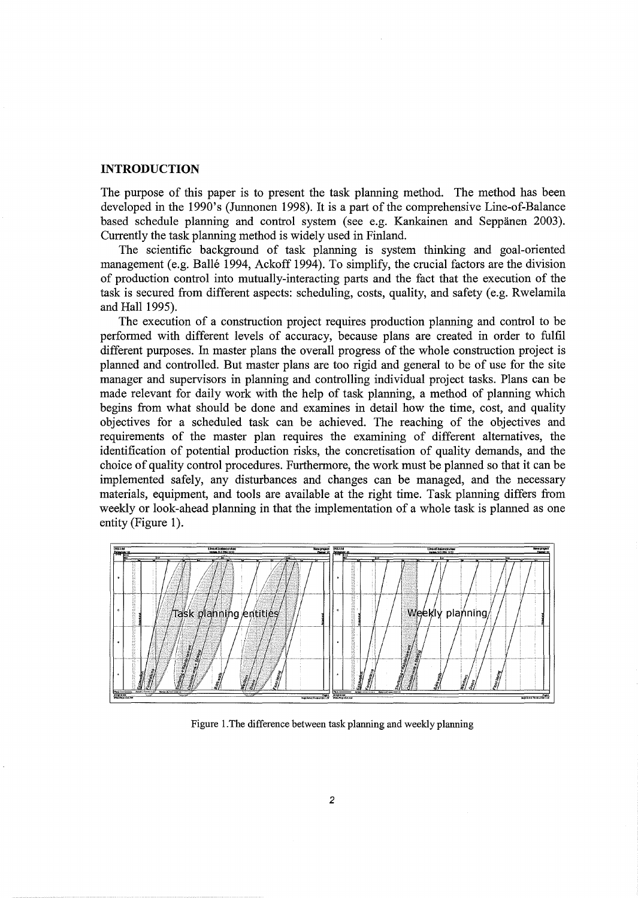#### **INTRODUCTION**

The purpose of this paper is to present the task planning method. The method has been developed in the 1990's (Junnonen 1998). It is a part of the comprehensive Line-of-Balance based schedule planning and control system (see e.g. Kankainen and Seppanen 2003). Currently the task planning method is widely used in Finland.

The scientific background of task planning is system thinking and goal-oriented management (e.g. Balle 1994, Ackoff 1994). To simplify, the crucial factors are the division of production control into mutually-interacting parts and the fact that the execution of the task is secured from different aspects: scheduling, costs, quality, and safety (e.g. Rwelamila and Hall 1995).

The execution of a construction project requires production planning and control to be performed with different levels of accuracy, because plans are created in order to fulfil different purposes. In master plans the overall progress of the whole construction project is planned and controlled. But master plans are too rigid and general to be of use for the site manager and supervisors in planning and controlling individual project tasks. Plans can be made relevant for daily work with the help of task planning, a method of planning which begins from what should be done and examines in detail how the time, cost, and quality objectives for a scheduled task can be achieved. The reaching of the objectives and requirements of the master plan requires the examining of different alternatives, the identification of potential production risks, the concretisation of quality demands, and the choice of quality control procedures. Furthermore, the work must be planned so that it can be implemented safely, any disturbances and changes can be managed, and the necessary materials, equipment, and tools are available at the right time. Task planning differs from weekly or look-ahead planning in that the implementation of a whole task is planned as one entity (Figure 1).



Figure l.The difference between task planning and weekly planning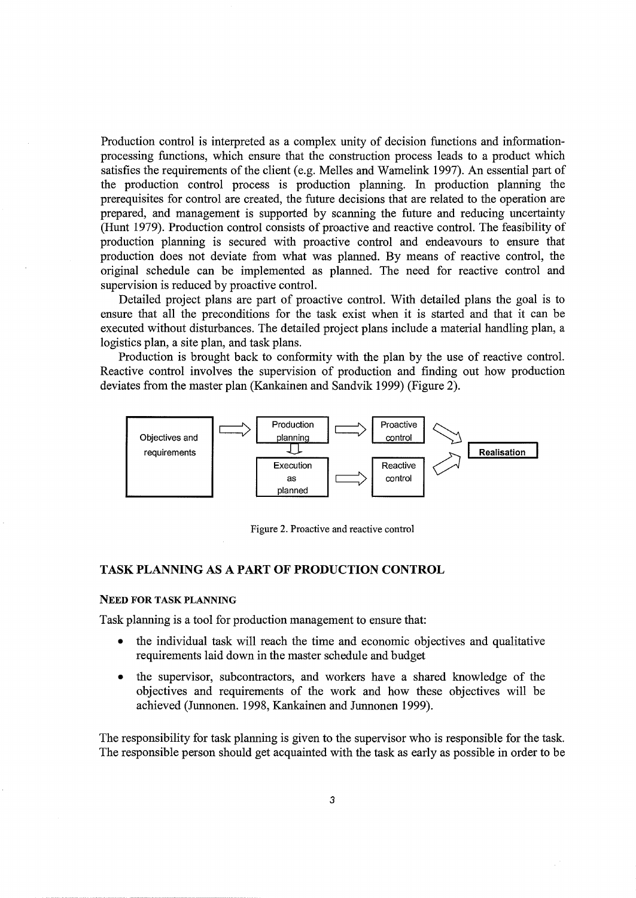Production control is interpreted as a complex unity of decision functions and informationprocessing functions, which ensure that the construction process leads to a product which satisfies the requirements of the client (e.g. Melles and Wamelink 1997). An essential part of the production control process is production planning. In production planning the prerequisites for control are created, the future decisions that are related to the operation are prepared, and management is supported by scanning the future and reducing uncertainty (Hunt 1979). Production control consists of proactive and reactive control. The feasibility of production planning is secured with proactive control and endeavours to ensure that production does not deviate from what was planned. By means of reactive control, the original schedule can be implemented as planned. The need for reactive control and supervision is reduced by proactive control.

Detailed project plans are part of proactive control. With detailed plans the goal is to ensure that all the preconditions for the task exist when it is started and that it can be executed without disturbances. The detailed project plans include a material handling plan, a logistics plan, a site plan, and task plans.

Production is brought back to conformity with the plan by the use of reactive control. Reactive control involves the supervision of production and finding out how production deviates from the master plan (Kankainen and Sandvik 1999) (Figure 2).



Figure 2. Proactive and reactive control

# TASK PLANNING AS A PART OF PRODUCTION CONTROL

#### NEED FOR TASK PLANNING

Task planning is a tool for production management to ensure that:

- the individual task will reach the time and economic objectives and qualitative requirements laid down in the master schedule and budget
- the supervisor, subcontractors, and workers have a shared knowledge of the objectives and requirements of the work and how these objectives will be achieved (Junnonen. 1998, Kankainen and Junnonen 1999).

The responsibility for task planning is given to the supervisor who is responsible for the task. The responsible person should get acquainted with the task as early as possible in order to be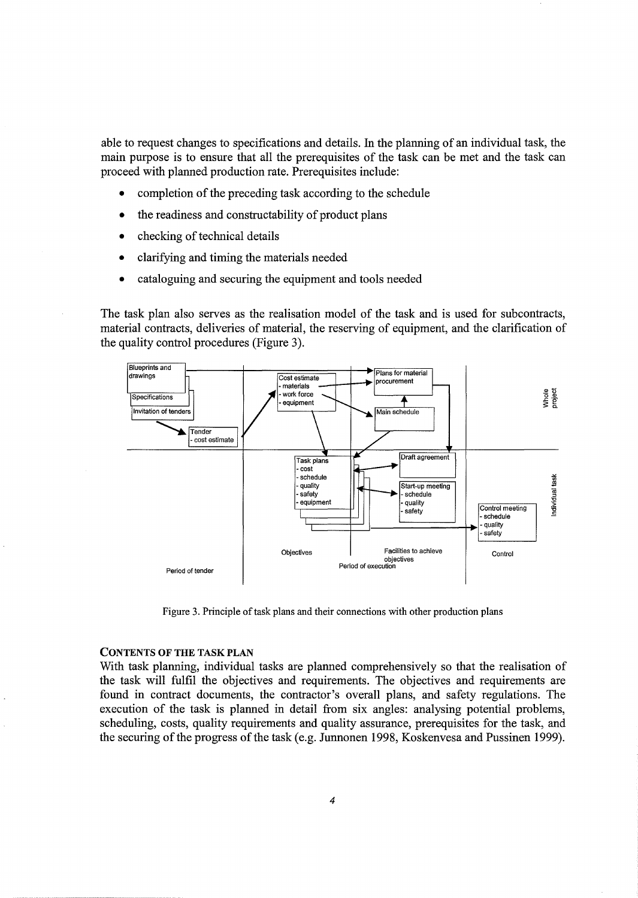able to request changes to specifications and details. In the planning of an individual task, the main purpose is to ensure that all the prerequisites of the task can be met and the task can proceed with planned production rate. Prerequisites include:

- completion of the preceding task according to the schedule
- the readiness and constructability of product plans
- checking of technical details
- clarifying and timing the materials needed
- cataloguing and securing the equipment and tools needed

The task plan also serves as the realisation model of the task and is used for subcontracts, material contracts, deliveries of material, the reserving of equipment, and the clarification of the quality control procedures (Figure 3).



Figure 3. Principle of task plans and their connections with other production plans

#### CONTENTS OF THE TASK PLAN

With task planning, individual tasks are planned comprehensively so that the realisation of the task will fulfil the objectives and requirements. The objectives and requirements are found in contract documents, the contractor's overall plans, and safety regulations. The execution of the task is planned in detail from six angles: analysing potential problems, scheduling, costs, quality requirements and quality assurance, prerequisites for the task, and the securing of the progress of the task (e.g. Junnonen 1998, Koskenvesa and Pussinen 1999).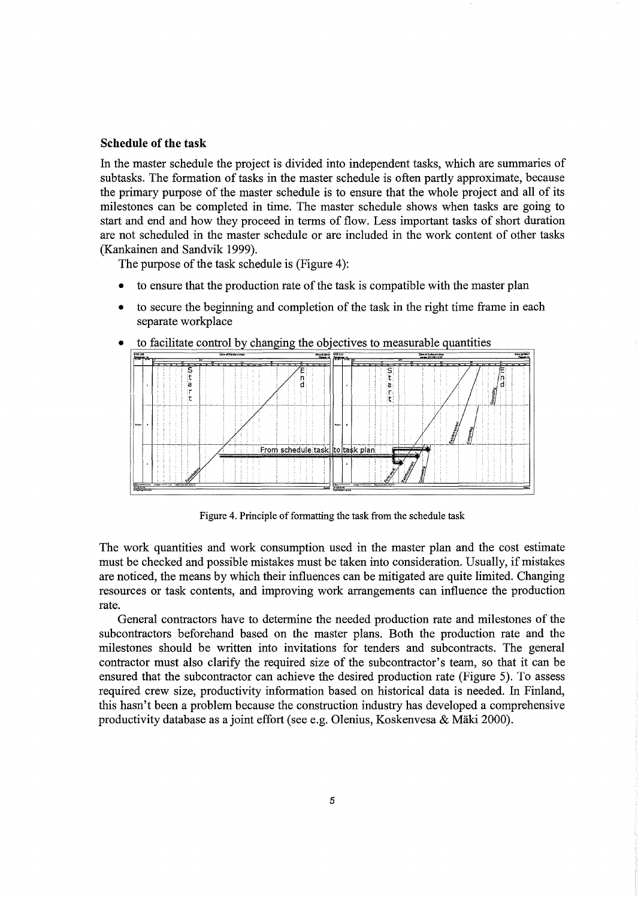#### **Schedule of the task**

In the master schedule the project is divided into independent tasks, which are summaries of subtasks. The formation of tasks in the master schedule is often partly approximate, because the primary purpose of the master schedule is to ensure that the whole project and all of its milestones can be completed in time. The master schedule shows when tasks are going to start and end and how they proceed in terms of flow. Less important tasks of short duration are not scheduled in the master schedule or are included in the work content of other tasks (Kankainen and Sandvik 1999).

The purpose of the task schedule is (Figure 4):

- to ensure that the production rate of the task is compatible with the master plan
- to secure the beginning and completion of the task in the right time frame in each separate workplace



to facilitate control by changing the objectives to measurable quantities

Figure 4. Principle of formatting the task from the schedule task

The work quantities and work consumption used in the master plan and the cost estimate must be checked and possible mistakes must be taken into consideration. Usually, if mistakes are noticed, the means by which their influences can be mitigated are quite limited. Changing resources or task contents, and improving work arrangements can influence the production rate.

General contractors have to determine the needed production rate and milestones of the subcontractors beforehand based on the master plans. Both the production rate and the milestones should be written into invitations for tenders and subcontracts. The general contractor must also clarify the required size of the subcontractor's team, so that it can be ensured that the subcontractor can achieve the desired production rate (Figure 5). To assess required crew size, productivity information based on historical data is needed. In Finland, this hasn't been a problem because the construction industry has developed a comprehensive productivity database as a joint effort (see e.g. Olenius, Koskenvesa & Maki 2000).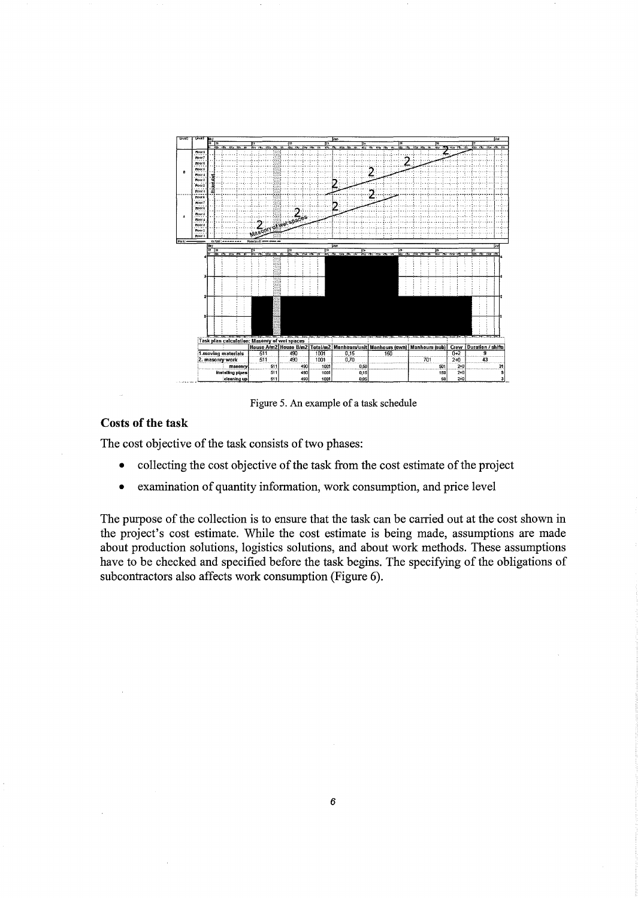

Figure 5. An example of a task schedule

# **Costs of the task**

The cost objective of the task consists of two phases:

- collecting the cost objective of the task from the cost estimate of the project
- examination of quantity information, work consumption, and price level

The purpose of the collection is to ensure that the task can be carried out at the cost shown in the project's cost estimate. While the cost estimate is being made, assumptions are made about production solutions, logistics solutions, and about work methods. These assumptions have to be checked and specified before the task begins. The specifying of the obligations of subcontractors also affects work consumption (Figure 6).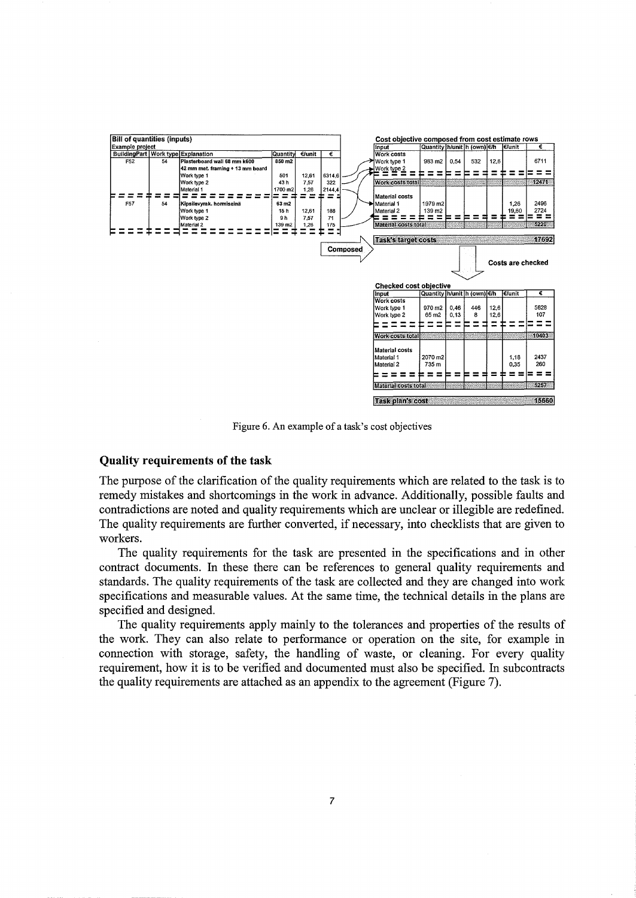

Figure 6. An example of a task's cost objectives

#### Quality requirements of the task

The purpose of the clarification of the quality requirements which are related to the task is to remedy mistakes and shortcomings in the work in advance. Additionally, possible faults and contradictions are noted and quality requirements which are unclear or illegible are redefined. The quality requirements are further converted, if necessary, into checklists that are given to workers.

The quality requirements for the task are presented in the specifications and in other contract documents. In these there can be references to general quality requirements and standards. The quality requirements of the task are collected and they are changed into work specifications and measurable values. At the same time, the technical details in the plans are specified and designed.

The quality requirements apply mainly to the tolerances and properties of the results of the work. They can also relate to performance or operation on the site, for example in connection with storage, safety, the handling of waste, or cleaning. For every quality requirement, how it is to be verified and documented must also be specified. In subcontracts the quality requirements are attached as an appendix to the agreement (Figure 7).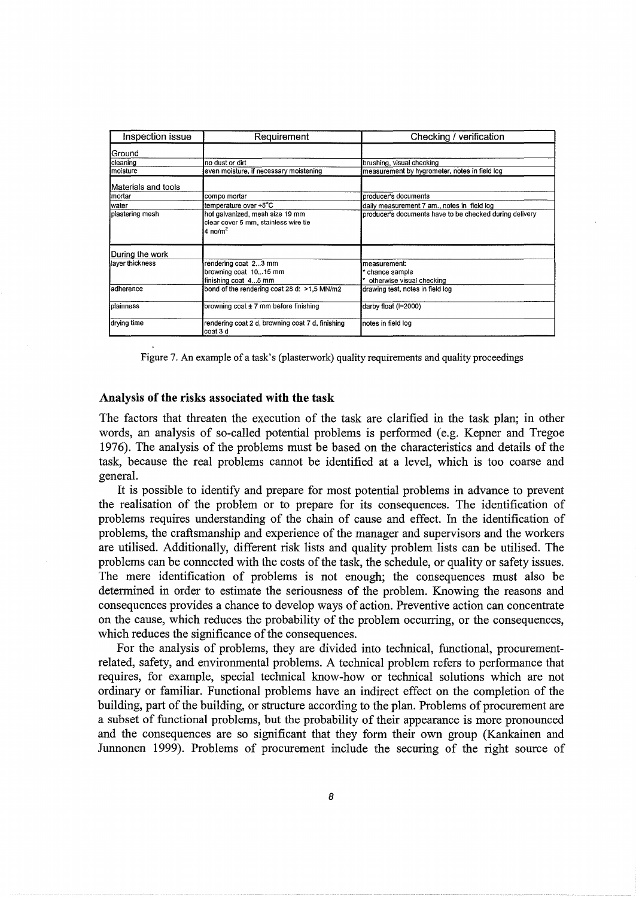| Inspection issue    | Requirement                                                                                    | Checking / verification                                    |
|---------------------|------------------------------------------------------------------------------------------------|------------------------------------------------------------|
| 'Ground             |                                                                                                |                                                            |
| cleaning            | no dust or dirt                                                                                | brushing, visual checking                                  |
| Imoisture           | even moisture, if necessary moistening                                                         | measurement by hygrometer, notes in field log              |
| Materials and tools |                                                                                                |                                                            |
| Imortar             | compo mortar                                                                                   | producer's documents                                       |
| lwater              | ltemperature over +5°C                                                                         | daily measurement 7 am., notes in field log                |
| plastering mesh     | hot galvanized, mesh size 19 mm<br>clear cover 5 mm, stainless wire tie<br>4 no/m <sup>2</sup> | producer's documents have to be checked during delivery    |
| During the work     |                                                                                                |                                                            |
| layer thickness     | rendering coat 23 mm<br>browning coat 1015 mm<br>finishing coat 45 mm                          | measurement:<br>chance sample<br>otherwise visual checking |
| ladherence          | bond of the rendering coat 28 d: >1,5 MN/m2                                                    | drawing test, notes in field log                           |
| <b>I</b> plainness  | browning coat $\pm$ 7 mm before finishing                                                      | darby float (I=2000)                                       |
| drying time         | rendering coat 2 d, browning coat 7 d, finishing<br>coat 3 d                                   | notes in field log                                         |

Figure 7. An example of a task's (plasterwork) quality requirements and quality proceedings

## **Analysis of the risks associated with the task**

The factors that threaten the execution of the task are clarified in the task plan; in other words, an analysis of so-called potential problems is performed (e.g. Kepner and Tregoe 1976). The analysis of the problems must be based on the characteristics and details of the task, because the real problems cannot be identified at a level, which is too coarse and general.

It is possible to identify and prepare for most potential problems in advance to prevent the realisation of the problem or to prepare for its consequences. The identification of problems requires understanding of the chain of cause and effect. In the identification of problems, the craftsmanship and experience of the manager and supervisors and the workers are utilised. Additionally, different risk lists and quality problem lists can be utilised. The problems can be connected with the costs of the task, the schedule, or quality or safety issues. The mere identification of problems is not enough; the consequences must also be determined in order to estimate the seriousness of the problem. Knowing the reasons and consequences provides a chance to develop ways of action. Preventive action can concentrate on the cause, which reduces the probability of the problem occurring, or the consequences, which reduces the significance of the consequences.

For the analysis of problems, they are divided into technical, functional, procurementrelated, safety, and environmental problems. A technical problem refers to performance that requires, for example, special technical know-how or technical solutions which are not ordinary or familiar. Functional problems have an indirect effect on the completion of the building, part of the building, or structure according to the plan. Problems of procurement are a subset of functional problems, but the probability of their appearance is more pronounced and the consequences are so significant that they form their own group (Kankainen and Junnonen 1999). Problems of procurement include the securing of the right source of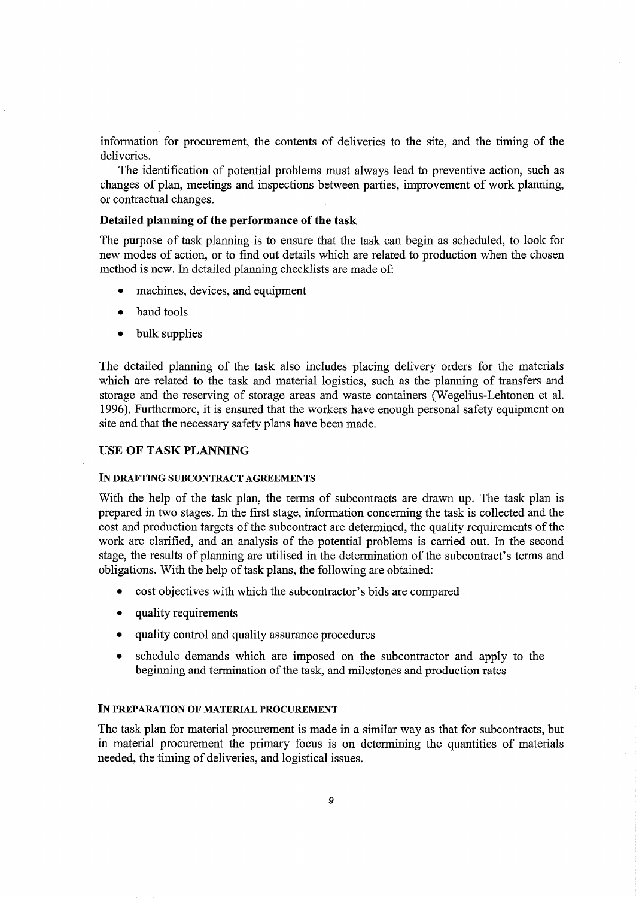information for procurement, the contents of deliveries to the site, and the timing of the deliveries.

The identification of potential problems must always lead to preventive action, such as changes of plan, meetings and inspections between parties, improvement of work planning, or contractual changes.

## Detailed planning of the performance of the task

The purpose of task planning is to ensure that the task can begin as scheduled, to look for new modes of action, or to find out details which are related to production when the chosen method is new. In detailed planning checklists are made of:

- machines, devices, and equipment
- hand tools
- bulk supplies

The detailed planning of the task also includes placing delivery orders for the materials which are related to the task and material logistics, such as the planning of transfers and storage and the reserving of storage areas and waste containers (Wegelius-Lehtonen et al. 1996). Furthermore, it is ensured that the workers have enough personal safety equipment on site and that the necessary safety plans have been made.

# USE OF TASK PLANNING

#### IN DRAFTING SUBCONTRACT AGREEMENTS

With the help of the task plan, the terms of subcontracts are drawn up. The task plan is prepared in two stages. In the first stage, information concerning the task is collected and the cost and production targets of the subcontract are determined, the quality requirements of the work are clarified, and an analysis of the potential problems is carried out. In the second stage, the results of planning are utilised in the determination of the subcontract's terms and obligations. With the help of task plans, the following are obtained:

- cost objectives with which the subcontractor's bids are compared
- quality requirements
- quality control and quality assurance procedures
- schedule demands which are imposed on the subcontractor and apply to the beginning and termination of the task, and milestones and production rates

#### IN PREPARATION OF MATERIAL PROCUREMENT

The task plan for material procurement is made in a similar way as that for subcontracts, but in material procurement the primary focus is on determining the quantities of materials needed, the timing of deliveries, and logistical issues.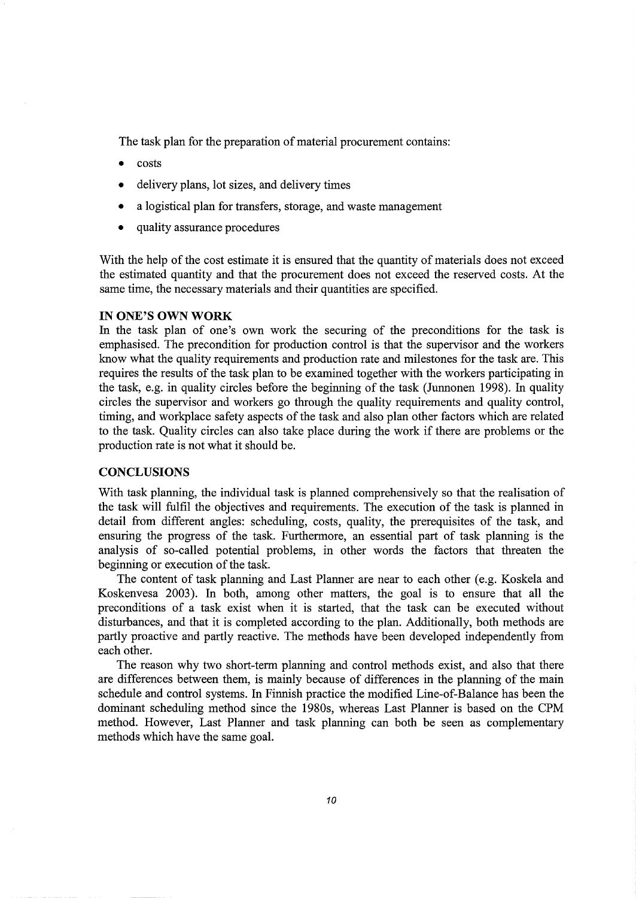The task plan for the preparation of material procurement contains:

- costs
- delivery plans, lot sizes, and delivery times
- a logistical plan for transfers, storage, and waste management
- quality assurance procedures

With the help of the cost estimate it is ensured that the quantity of materials does not exceed the estimated quantity and that the procurement does not exceed the reserved costs. At the same time, the necessary materials and their quantities are specified.

#### **IN ONE'S OWN WORK**

In the task plan of one's own work the securing of the preconditions for the task is emphasised. The precondition for production control is that the supervisor and the workers know what the quality requirements and production rate and milestones for the task are. This requires the results of the task plan to be examined together with the workers participating in the task, e.g. in quality circles before the beginning of the task (Junnonen 1998). In quality circles the supervisor and workers go through the quality requirements and quality control, timing, and workplace safety aspects of the task and also plan other factors which are related to the task. Quality circles can also take place during the work if there are problems or the production rate is not what it should be.

# **CONCLUSIONS**

With task planning, the individual task is planned comprehensively so that the realisation of the task will fulfil the objectives and requirements. The execution of the task is planned in detail from different angles: scheduling, costs, quality, the prerequisites of the task, and ensuring the progress of the task. Furthermore, an essential part of task planning is the analysis of so-called potential problems, in other words the factors that threaten the beginning or execution of the task.

The content of task planning and Last Planner are near to each other (e.g. Koskela and Koskenvesa 2003). In both, among other matters, the goal is to ensure that all the preconditions of a task exist when it is started, that the task can be executed without disturbances, and that it is completed according to the plan. Additionally, both methods are partly proactive and partly reactive. The methods have been developed independently from each other.

The reason why two short-term planning and control methods exist, and also that there are differences between them, is mainly because of differences in the planning of the main schedule and control systems. In Finnish practice the modified Line-of-Balance has been the dominant scheduling method since the 1980s, whereas Last Planner is based on the CPM method. However, Last Planner and task planning can both be seen as complementary methods which have the same goal.